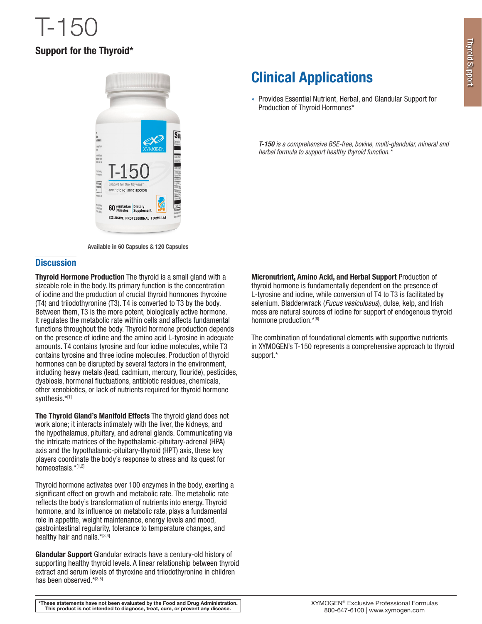# Support for the Thyroid\*



Available in 60 Capsules & 120 Capsules

### **Discussion**

**Thyroid Hormone Production** The thyroid is a small gland with a sizeable role in the body. Its primary function is the concentration of iodine and the production of crucial thyroid hormones thyroxine (T4) and triiodothyronine (T3). T4 is converted to T3 by the body. Between them, T3 is the more potent, biologically active hormone. It regulates the metabolic rate within cells and affects fundamental functions throughout the body. Thyroid hormone production depends on the presence of iodine and the amino acid L-tyrosine in adequate amounts. T4 contains tyrosine and four iodine molecules, while T3 contains tyrosine and three iodine molecules. Production of thyroid hormones can be disrupted by several factors in the environment, including heavy metals (lead, cadmium, mercury, flouride), pesticides, dysbiosis, hormonal fluctuations, antibiotic residues, chemicals, other xenobiotics, or lack of nutrients required for thyroid hormone synthesis.\*[1]

The Thyroid Gland's Manifold Effects The thyroid gland does not work alone; it interacts intimately with the liver, the kidneys, and the hypothalamus, pituitary, and adrenal glands. Communicating via the intricate matrices of the hypothalamic-pituitary-adrenal (HPA) axis and the hypothalamic-pituitary-thyroid (HPT) axis, these key players coordinate the body's response to stress and its quest for homeostasis.\*[1,2]

Thyroid hormone activates over 100 enzymes in the body, exerting a significant effect on growth and metabolic rate. The metabolic rate reflects the body's transformation of nutrients into energy. Thyroid hormone, and its influence on metabolic rate, plays a fundamental role in appetite, weight maintenance, energy levels and mood, gastrointestinal regularity, tolerance to temperature changes, and healthy hair and nails.\*[3,4]

Glandular Support Glandular extracts have a century-old history of supporting healthy thyroid levels. A linear relationship between thyroid extract and serum levels of thyroxine and triiodothyronine in children has been observed.\*[3,5]

# Clinical Applications

» Provides Essential Nutrient, Herbal, and Glandular Support for Production of Thyroid Hormones\*

*T-150 is a comprehensive BSE-free, bovine, multi-glandular, mineral and herbal formula to support healthy thyroid function.\**

Micronutrient, Amino Acid, and Herbal Support Production of thyroid hormone is fundamentally dependent on the presence of L-tyrosine and iodine, while conversion of T4 to T3 is facilitated by selenium. Bladderwrack (*Fucus vesiculosus*), dulse, kelp, and Irish moss are natural sources of iodine for support of endogenous thyroid hormone production.\*[6]

The combination of foundational elements with supportive nutrients in XYMOGEN's T-150 represents a comprehensive approach to thyroid support.\*